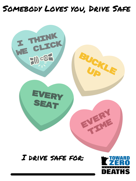## SOMEBODY LOVES YOU, DRIVE SAFE



# SUERT<br>SEAT

#### I DRIVE SAFE FOR:

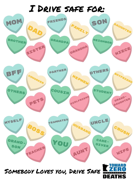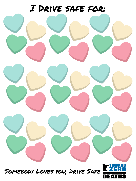

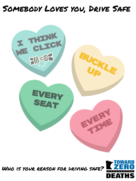## Somebody Loves you, Drive Safe



tIME

DEATHS

## Who is your reason for driving safe?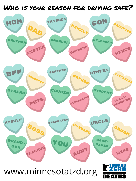#### WHO IS YOUR REASON FOR DRIVING SAFE?